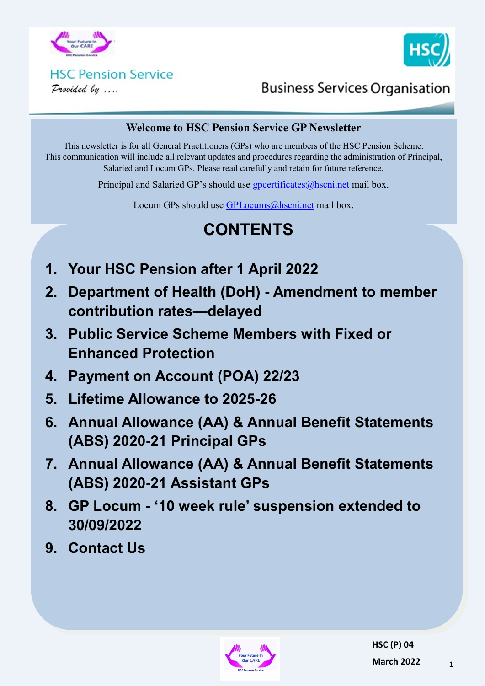



### **HSC Pension Service** Provided by ....

**Business Services Organisation** 

### **Welcome to HSC Pension Service GP Newsletter**

This newsletter is for all General Practitioners (GPs) who are members of the HSC Pension Scheme. This communication will include all relevant updates and procedures regarding the administration of Principal, Salaried and Locum GPs. Please read carefully and retain for future reference.

Principal and Salaried GP's should use [gpcertificates@hscni.net](mailto:gpcertificates@hscni.net) mail box.

Locum GPs should use [GPLocums@hscni.net](mailto:GPLocums@hscni.net) mail box.

# **CONTENTS**

- **1. Your HSC Pension after 1 April 2022**
- **2. Department of Health (DoH) - Amendment to member contribution rates—delayed**
- **3. Public Service Scheme Members with Fixed or Enhanced Protection**
- **4. Payment on Account (POA) 22/23**
- **5. Lifetime Allowance to 2025-26**
- **6. Annual Allowance (AA) & Annual Benefit Statements (ABS) 2020-21 Principal GPs**
- **7. Annual Allowance (AA) & Annual Benefit Statements (ABS) 2020-21 Assistant GPs**
- **8. GP Locum - '10 week rule' suspension extended to 30/09/2022**
- **9. Contact Us**

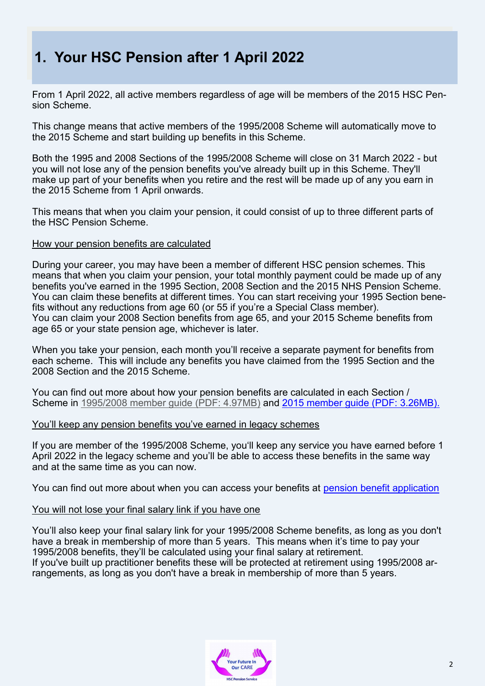# **1. Your HSC Pension after 1 April 2022**

From 1 April 2022, all active members regardless of age will be members of the 2015 HSC Pension Scheme.

This change means that active members of the 1995/2008 Scheme will automatically move to the 2015 Scheme and start building up benefits in this Scheme.

Both the 1995 and 2008 Sections of the 1995/2008 Scheme will close on 31 March 2022 - but you will not lose any of the pension benefits you've already built up in this Scheme. They'll make up part of your benefits when you retire and the rest will be made up of any you earn in the 2015 Scheme from 1 April onwards.

This means that when you claim your pension, it could consist of up to three different parts of the HSC Pension Scheme.

### How your pension benefits are calculated

During your career, you may have been a member of different HSC pension schemes. This means that when you claim your pension, your total monthly payment could be made up of any benefits you've earned in the 1995 Section, 2008 Section and the 2015 NHS Pension Scheme. You can claim these benefits at different times. You can start receiving your 1995 Section benefits without any reductions from age 60 (or 55 if you're a Special Class member). You can claim your 2008 Section benefits from age 65, and your 2015 Scheme benefits from age 65 or your state pension age, whichever is later.

When you take your pension, each month you'll receive a separate payment for benefits from each scheme. This will include any benefits you have claimed from the 1995 Section and the 2008 Section and the 2015 Scheme.

You can find out more about how your pension benefits are calculated in each Section / Scheme in 1995/2008 member guide [\(PDF: 4.97MB\)](https://hscpensions.hscni.net/download/Scheme%20Guide/Scheme-Guide-1995-2008-2-8.pdf) and [2015 member guide](https://hscpensions.hscni.net/download/Scheme%20Guide/2015-Scheme-Guide-updated-March-2019.pdf) (PDF: 3.26MB).

### You'll keep any pension benefits you've earned in legacy schemes

If you are member of the 1995/2008 Scheme, you'll keep any service you have earned before 1 April 2022 in the legacy scheme and you'll be able to access these benefits in the same way and at the same time as you can now.

You can find out more about when you can access your benefits at [pension benefit application](https://hscpensions.hscni.net/pension-benefit-application/) 

### You will not lose your final salary link if you have one

You'll also keep your final salary link for your 1995/2008 Scheme benefits, as long as you don't have a break in membership of more than 5 years. This means when it's time to pay your 1995/2008 benefits, they'll be calculated using your final salary at retirement. If you've built up practitioner benefits these will be protected at retirement using 1995/2008 arrangements, as long as you don't have a break in membership of more than 5 years.

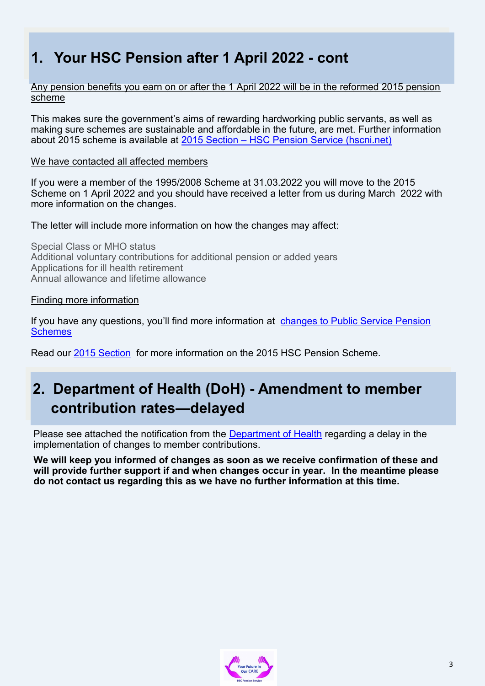# **1. Your HSC Pension after 1 April 2022 - cont**

Any pension benefits you earn on or after the 1 April 2022 will be in the reformed 2015 pension scheme

This makes sure the government's aims of rewarding hardworking public servants, as well as making sure schemes are sustainable and affordable in the future, are met. Further information about 2015 scheme is available at 2015 Section – [HSC Pension Service \(hscni.net\)](https://hscpensions.hscni.net/hscpensions/members/2015-section/)

### We have contacted all affected members

If you were a member of the 1995/2008 Scheme at 31.03.2022 you will move to the 2015 Scheme on 1 April 2022 and you should have received a letter from us during March 2022 with more information on the changes.

The letter will include more information on how the changes may affect:

Special Class or MHO status Additional voluntary contributions for additional pension or added years Applications for ill health retirement Annual allowance and lifetime allowance

### Finding more information

If you have any questions, you'll find more information at [changes to Public Service Pension](https://hscpensions.hscni.net/wp-content/uploads/2021/03/Pension-Consultation-Update.pdf)  **Schemes** 

Read our [2015 Section](https://hscpensions.hscni.net/hscpensions/members/2015-section/) for more information on the 2015 HSC Pension Scheme.

# **2. Department of Health (DoH) - Amendment to member contribution rates—delayed**

Please see attached the notification from the [Department of Health](https://www.health-ni.gov.uk/sites/default/files/consultations/health/doh-member-contributions-update.pdf) regarding a delay in the implementation of changes to member contributions.

**We will keep you informed of changes as soon as we receive confirmation of these and will provide further support if and when changes occur in year. In the meantime please do not contact us regarding this as we have no further information at this time.**

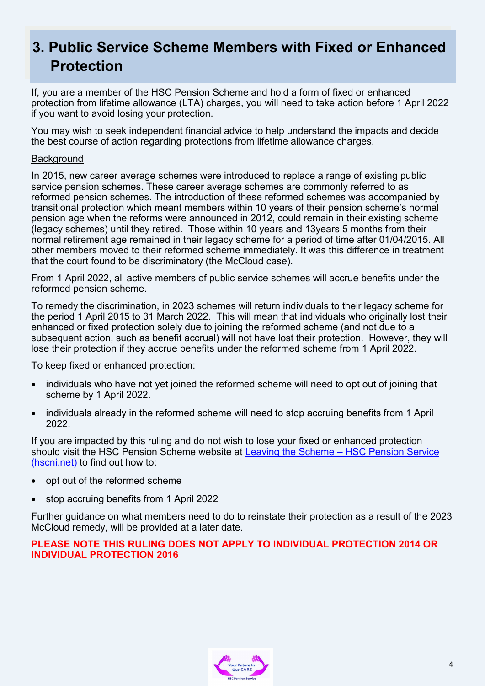# **3. Public Service Scheme Members with Fixed or Enhanced Protection**

If, you are a member of the HSC Pension Scheme and hold a form of fixed or enhanced protection from lifetime allowance (LTA) charges, you will need to take action before 1 April 2022 if you want to avoid losing your protection.

You may wish to seek independent financial advice to help understand the impacts and decide the best course of action regarding protections from lifetime allowance charges.

### **Background**

In 2015, new career average schemes were introduced to replace a range of existing public service pension schemes. These career average schemes are commonly referred to as reformed pension schemes. The introduction of these reformed schemes was accompanied by transitional protection which meant members within 10 years of their pension scheme's normal pension age when the reforms were announced in 2012, could remain in their existing scheme (legacy schemes) until they retired. Those within 10 years and 13years 5 months from their normal retirement age remained in their legacy scheme for a period of time after 01/04/2015. All other members moved to their reformed scheme immediately. It was this difference in treatment that the court found to be discriminatory (the McCloud case).

From 1 April 2022, all active members of public service schemes will accrue benefits under the reformed pension scheme.

To remedy the discrimination, in 2023 schemes will return individuals to their legacy scheme for the period 1 April 2015 to 31 March 2022. This will mean that individuals who originally lost their enhanced or fixed protection solely due to joining the reformed scheme (and not due to a subsequent action, such as benefit accrual) will not have lost their protection. However, they will lose their protection if they accrue benefits under the reformed scheme from 1 April 2022.

To keep fixed or enhanced protection:

- individuals who have not yet joined the reformed scheme will need to opt out of joining that scheme by 1 April 2022.
- individuals already in the reformed scheme will need to stop accruing benefits from 1 April 2022.

If you are impacted by this ruling and do not wish to lose your fixed or enhanced protection should visit the HSC Pension Scheme website at [Leaving the Scheme –](https://hscpensions.hscni.net/leaving-the-scheme/) HSC Pension Service [\(hscni.net\)](https://hscpensions.hscni.net/leaving-the-scheme/) to find out how to:

- opt out of the reformed scheme
- stop accruing benefits from 1 April 2022

Further guidance on what members need to do to reinstate their protection as a result of the 2023 McCloud remedy, will be provided at a later date.

**PLEASE NOTE THIS RULING DOES NOT APPLY TO INDIVIDUAL PROTECTION 2014 OR INDIVIDUAL PROTECTION 2016**

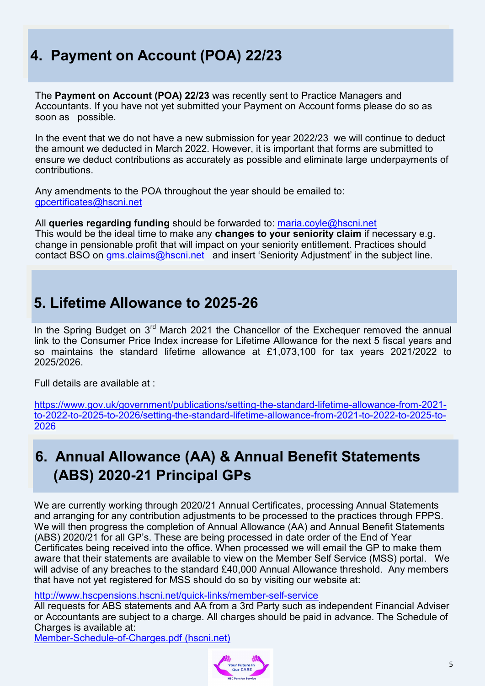# **4. Payment on Account (POA) 22/23**

The **Payment on Account (POA) 22/23** was recently sent to Practice Managers and Accountants. If you have not yet submitted your Payment on Account forms please do so as soon as possible.

In the event that we do not have a new submission for year 2022/23 we will continue to deduct the amount we deducted in March 2022. However, it is important that forms are submitted to ensure we deduct contributions as accurately as possible and eliminate large underpayments of contributions.

Any amendments to the POA throughout the year should be emailed to: [gpcertificates@hscni.net](mailto:gpcertificates@hscni.net) 

All **queries regarding funding** should be forwarded to: [maria.coyle@hscni.net](mailto:maria.coyle@hscni.net) This would be the ideal time to make any **changes to your seniority claim** if necessary e.g. change in pensionable profit that will impact on your seniority entitlement. Practices should contact BSO on [gms.claims@hscni.net](mailto:gms.claims@hscni.net) and insert 'Seniority Adjustment' in the subject line.

# **5. Lifetime Allowance to 2025-26**

In the Spring Budget on  $3<sup>rd</sup>$  March 2021 the Chancellor of the Exchequer removed the annual link to the Consumer Price Index increase for Lifetime Allowance for the next 5 fiscal years and so maintains the standard lifetime allowance at £1,073,100 for tax years 2021/2022 to 2025/2026.

Full details are available at :

[https://www.gov.uk/government/publications/setting](https://www.gov.uk/government/publications/setting-the-standard-lifetime-allowance-from-2021-to-2022-to-2025-to-2026/setting-the-standard-lifetime-allowance-from-2021-to-2022-to-2025-to-2026)-the-standard-lifetime-allowance-from-2021 to-2022-to-2025-to-[2026/setting](https://www.gov.uk/government/publications/setting-the-standard-lifetime-allowance-from-2021-to-2022-to-2025-to-2026/setting-the-standard-lifetime-allowance-from-2021-to-2022-to-2025-to-2026)-the-standard-lifetime-allowance-from-2021-to-2022-to-2025-to-[2026](https://www.gov.uk/government/publications/setting-the-standard-lifetime-allowance-from-2021-to-2022-to-2025-to-2026/setting-the-standard-lifetime-allowance-from-2021-to-2022-to-2025-to-2026)

# **6. Annual Allowance (AA) & Annual Benefit Statements (ABS) 2020-21 Principal GPs**

We are currently working through 2020/21 Annual Certificates, processing Annual Statements and arranging for any contribution adjustments to be processed to the practices through FPPS. We will then progress the completion of Annual Allowance (AA) and Annual Benefit Statements (ABS) 2020/21 for all GP's. These are being processed in date order of the End of Year Certificates being received into the office. When processed we will email the GP to make them aware that their statements are available to view on the Member Self Service (MSS) portal. We will advise of any breaches to the standard £40,000 Annual Allowance threshold. Any members that have not yet registered for MSS should do so by visiting our website at:

[http://www.hscpensions.hscni.net/quick](http://www.hscpensions.hscni.net/quick-links/member-self-service)-links/member-self-service

All requests for ABS statements and AA from a 3rd Party such as independent Financial Adviser or Accountants are subject to a charge. All charges should be paid in advance. The Schedule of Charges is available at:

Member-Schedule-of-[Charges.pdf \(hscni.net\)](https://hscpensions.hscni.net/download/Members/member_factsheets/Member-Schedule-of-Charges.pdf)

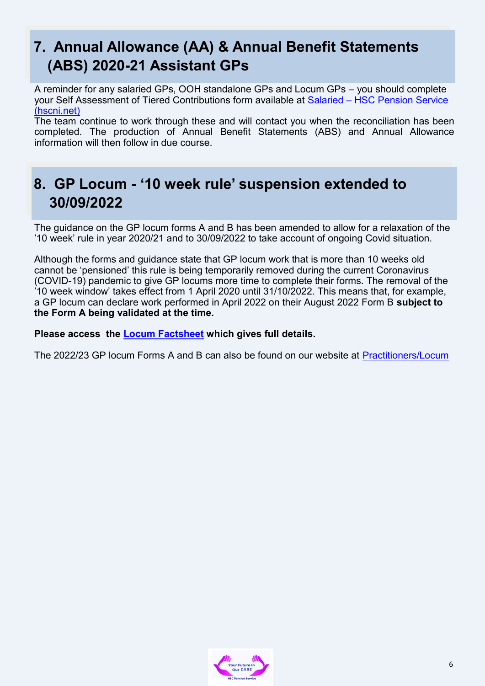# **7. Annual Allowance (AA) & Annual Benefit Statements (ABS) 2020-21 Assistant GPs**

A reminder for any salaried GPs, OOH standalone GPs and Locum GPs – you should complete your Self Assessment of Tiered Contributions form available at Salaried – [HSC Pension Service](https://hscpensions.hscni.net/hscpensions/practitioners/salaried-3/)  [\(hscni.net\)](https://hscpensions.hscni.net/hscpensions/practitioners/salaried-3/)

The team continue to work through these and will contact you when the reconciliation has been completed. The production of Annual Benefit Statements (ABS) and Annual Allowance information will then follow in due course.

# **8. GP Locum - '10 week rule' suspension extended to 30/09/2022**

The guidance on the GP locum forms A and B has been amended to allow for a relaxation of the '10 week' rule in year 2020/21 and to 30/09/2022 to take account of ongoing Covid situation.

Although the forms and guidance state that GP locum work that is more than 10 weeks old cannot be 'pensioned' this rule is being temporarily removed during the current Coronavirus (COVID-19) pandemic to give GP locums more time to complete their forms. The removal of the '10 week window' takes effect from 1 April 2020 until 31/10/2022. This means that, for example, a GP locum can declare work performed in April 2022 on their August 2022 Form B **subject to the Form A being validated at the time.** 

### **Please access the [Locum Factsheet](https://hscpensions.hscni.net/download/Practitioners/gp_locum_19-20/GP-Locum-Factsheet-V2-June-20.pdf) which gives full details.**

The 2022/23 GP locum Forms A and B can also be found on our website at [Practitioners/Locum](https://hscpensions.hscni.net/hscpensions/practitioners/locum/)